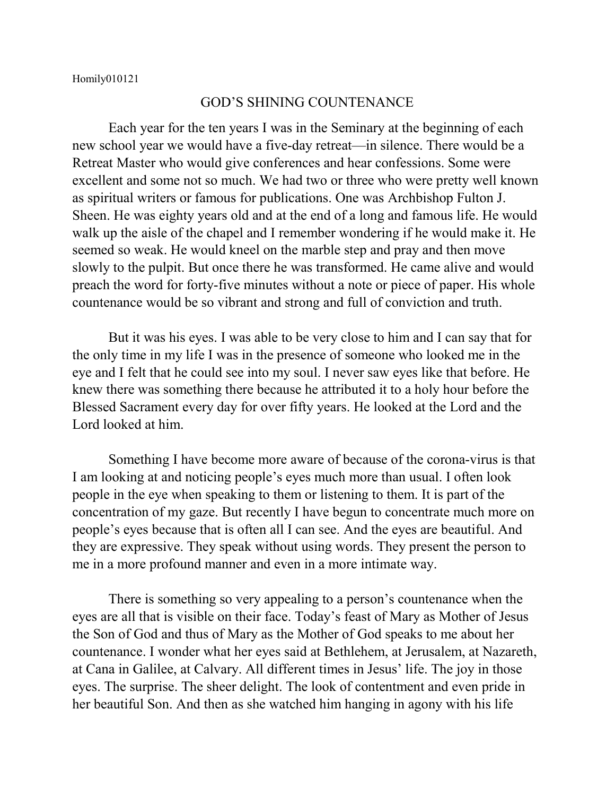Homily010121

## GOD'S SHINING COUNTENANCE

Each year for the ten years I was in the Seminary at the beginning of each new school year we would have a five-day retreat—in silence. There would be a Retreat Master who would give conferences and hear confessions. Some were excellent and some not so much. We had two or three who were pretty well known as spiritual writers or famous for publications. One was Archbishop Fulton J. Sheen. He was eighty years old and at the end of a long and famous life. He would walk up the aisle of the chapel and I remember wondering if he would make it. He seemed so weak. He would kneel on the marble step and pray and then move slowly to the pulpit. But once there he was transformed. He came alive and would preach the word for forty-five minutes without a note or piece of paper. His whole countenance would be so vibrant and strong and full of conviction and truth.

But it was his eyes. I was able to be very close to him and I can say that for the only time in my life I was in the presence of someone who looked me in the eye and I felt that he could see into my soul. I never saw eyes like that before. He knew there was something there because he attributed it to a holy hour before the Blessed Sacrament every day for over fifty years. He looked at the Lord and the Lord looked at him.

Something I have become more aware of because of the corona-virus is that I am looking at and noticing people's eyes much more than usual. I often look people in the eye when speaking to them or listening to them. It is part of the concentration of my gaze. But recently I have begun to concentrate much more on people's eyes because that is often all I can see. And the eyes are beautiful. And they are expressive. They speak without using words. They present the person to me in a more profound manner and even in a more intimate way.

There is something so very appealing to a person's countenance when the eyes are all that is visible on their face. Today's feast of Mary as Mother of Jesus the Son of God and thus of Mary as the Mother of God speaks to me about her countenance. I wonder what her eyes said at Bethlehem, at Jerusalem, at Nazareth, at Cana in Galilee, at Calvary. All different times in Jesus' life. The joy in those eyes. The surprise. The sheer delight. The look of contentment and even pride in her beautiful Son. And then as she watched him hanging in agony with his life